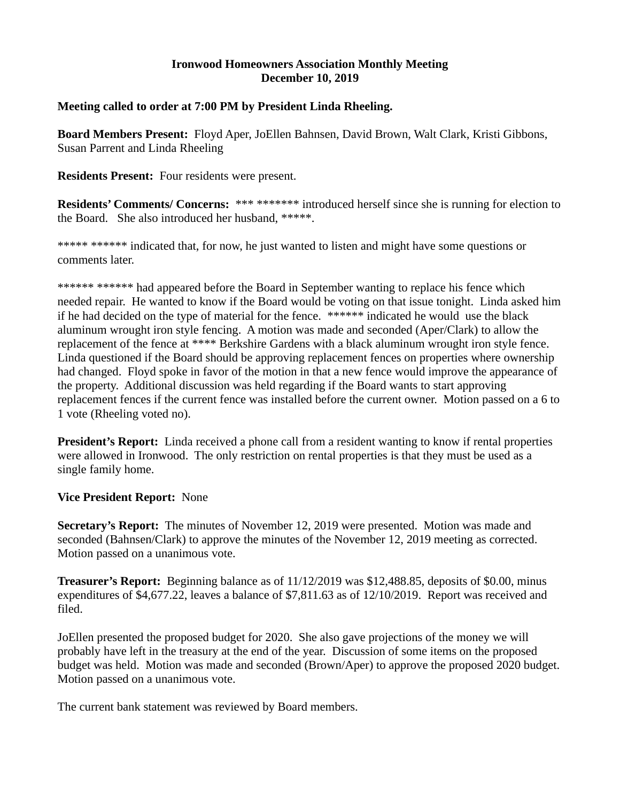## **Ironwood Homeowners Association Monthly Meeting December 10, 2019**

## **Meeting called to order at 7:00 PM by President Linda Rheeling.**

**Board Members Present:** Floyd Aper, JoEllen Bahnsen, David Brown, Walt Clark, Kristi Gibbons, Susan Parrent and Linda Rheeling

**Residents Present:** Four residents were present.

**Residents' Comments/ Concerns:** \*\*\* \*\*\*\*\*\*\* introduced herself since she is running for election to the Board. She also introduced her husband, \*\*\*\*\*.

\*\*\*\*\* \*\*\*\*\*\* indicated that, for now, he just wanted to listen and might have some questions or comments later.

\*\*\*\*\*\* \*\*\*\*\*\* had appeared before the Board in September wanting to replace his fence which needed repair. He wanted to know if the Board would be voting on that issue tonight. Linda asked him if he had decided on the type of material for the fence. \*\*\*\*\*\* indicated he would use the black aluminum wrought iron style fencing. A motion was made and seconded (Aper/Clark) to allow the replacement of the fence at \*\*\*\* Berkshire Gardens with a black aluminum wrought iron style fence. Linda questioned if the Board should be approving replacement fences on properties where ownership had changed. Floyd spoke in favor of the motion in that a new fence would improve the appearance of the property. Additional discussion was held regarding if the Board wants to start approving replacement fences if the current fence was installed before the current owner. Motion passed on a 6 to 1 vote (Rheeling voted no).

**President's Report:** Linda received a phone call from a resident wanting to know if rental properties were allowed in Ironwood. The only restriction on rental properties is that they must be used as a single family home.

## **Vice President Report:** None

**Secretary's Report:** The minutes of November 12, 2019 were presented. Motion was made and seconded (Bahnsen/Clark) to approve the minutes of the November 12, 2019 meeting as corrected. Motion passed on a unanimous vote.

**Treasurer's Report:** Beginning balance as of 11/12/2019 was \$12,488.85, deposits of \$0.00, minus expenditures of \$4,677.22, leaves a balance of \$7,811.63 as of 12/10/2019. Report was received and filed.

JoEllen presented the proposed budget for 2020. She also gave projections of the money we will probably have left in the treasury at the end of the year. Discussion of some items on the proposed budget was held. Motion was made and seconded (Brown/Aper) to approve the proposed 2020 budget. Motion passed on a unanimous vote.

The current bank statement was reviewed by Board members.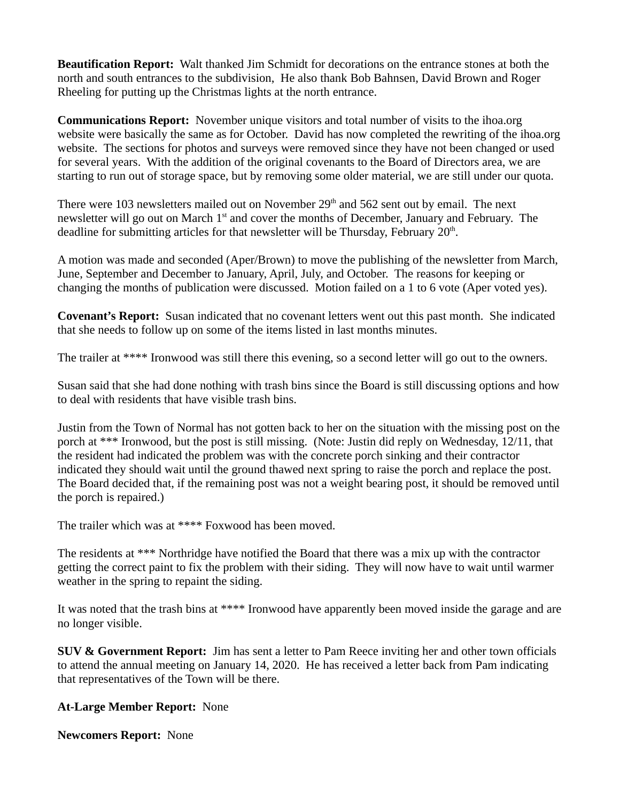**Beautification Report:** Walt thanked Jim Schmidt for decorations on the entrance stones at both the north and south entrances to the subdivision, He also thank Bob Bahnsen, David Brown and Roger Rheeling for putting up the Christmas lights at the north entrance.

**Communications Report:** November unique visitors and total number of visits to the ihoa.org website were basically the same as for October. David has now completed the rewriting of the ihoa.org website. The sections for photos and surveys were removed since they have not been changed or used for several years. With the addition of the original covenants to the Board of Directors area, we are starting to run out of storage space, but by removing some older material, we are still under our quota.

There were 103 newsletters mailed out on November  $29<sup>th</sup>$  and 562 sent out by email. The next newsletter will go out on March 1<sup>st</sup> and cover the months of December, January and February. The deadline for submitting articles for that newsletter will be Thursday, February  $20<sup>th</sup>$ .

A motion was made and seconded (Aper/Brown) to move the publishing of the newsletter from March, June, September and December to January, April, July, and October. The reasons for keeping or changing the months of publication were discussed. Motion failed on a 1 to 6 vote (Aper voted yes).

**Covenant's Report:** Susan indicated that no covenant letters went out this past month. She indicated that she needs to follow up on some of the items listed in last months minutes.

The trailer at \*\*\*\* Ironwood was still there this evening, so a second letter will go out to the owners.

Susan said that she had done nothing with trash bins since the Board is still discussing options and how to deal with residents that have visible trash bins.

Justin from the Town of Normal has not gotten back to her on the situation with the missing post on the porch at \*\*\* Ironwood, but the post is still missing. (Note: Justin did reply on Wednesday, 12/11, that the resident had indicated the problem was with the concrete porch sinking and their contractor indicated they should wait until the ground thawed next spring to raise the porch and replace the post. The Board decided that, if the remaining post was not a weight bearing post, it should be removed until the porch is repaired.)

The trailer which was at \*\*\*\* Foxwood has been moved.

The residents at \*\*\* Northridge have notified the Board that there was a mix up with the contractor getting the correct paint to fix the problem with their siding. They will now have to wait until warmer weather in the spring to repaint the siding.

It was noted that the trash bins at \*\*\*\* Ironwood have apparently been moved inside the garage and are no longer visible.

**SUV & Government Report:** Jim has sent a letter to Pam Reece inviting her and other town officials to attend the annual meeting on January 14, 2020. He has received a letter back from Pam indicating that representatives of the Town will be there.

## **At-Large Member Report:** None

**Newcomers Report:** None